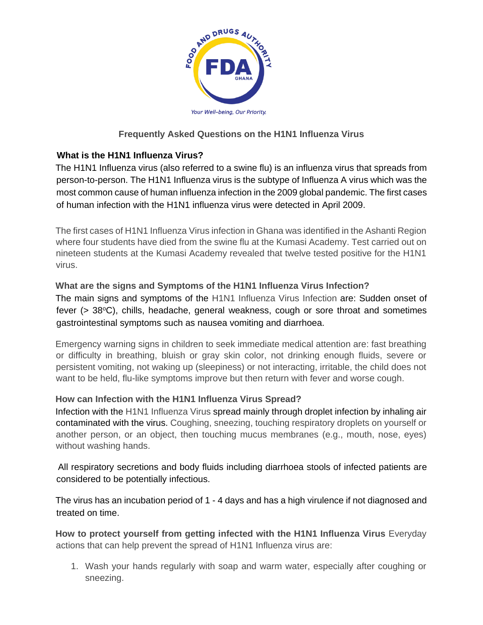

# **Frequently Asked Questions on the H1N1 Influenza Virus**

# **What is the H1N1 Influenza Virus?**

The H1N1 Influenza virus (also referred to a swine flu) is an influenza virus that spreads from person-to-person. The H1N1 Influenza virus is the subtype of Influenza A virus which was the most common cause of human influenza infection in the 2009 global pandemic. The first cases of human infection with the H1N1 influenza virus were detected in April 2009.

The first cases of H1N1 Influenza Virus infection in Ghana was identified in the Ashanti Region where four students have died from the swine flu at the Kumasi Academy. Test carried out on nineteen students at the Kumasi Academy revealed that twelve tested positive for the H1N1 virus.

#### **What are the signs and Symptoms of the H1N1 Influenza Virus Infection?**

The main signs and symptoms of the H1N1 Influenza Virus Infection are: Sudden onset of fever  $(> 38^{\circ}C)$ , chills, headache, general weakness, cough or sore throat and sometimes gastrointestinal symptoms such as nausea vomiting and diarrhoea.

Emergency warning signs in children to seek immediate medical attention are: fast breathing or difficulty in breathing, bluish or gray skin color, not drinking enough fluids, severe or persistent vomiting, not waking up (sleepiness) or not interacting, irritable, the child does not want to be held, flu-like symptoms improve but then return with fever and worse cough.

## **How can Infection with the H1N1 Influenza Virus Spread?**

Infection with the H1N1 Influenza Virus spread mainly through droplet infection by inhaling air contaminated with the virus. Coughing, sneezing, touching respiratory droplets on yourself or another person, or an object, then touching mucus membranes (e.g., mouth, nose, eyes) without washing hands.

All respiratory secretions and body fluids including diarrhoea stools of infected patients are considered to be potentially infectious.

The virus has an incubation period of 1 - 4 days and has a high virulence if not diagnosed and treated on time.

How to protect yourself from getting infected with the H1N1 Influenza Virus Everyday actions that can help prevent the spread of H1N1 Influenza virus are:

1. Wash your hands regularly with soap and warm water, especially after coughing or sneezing.